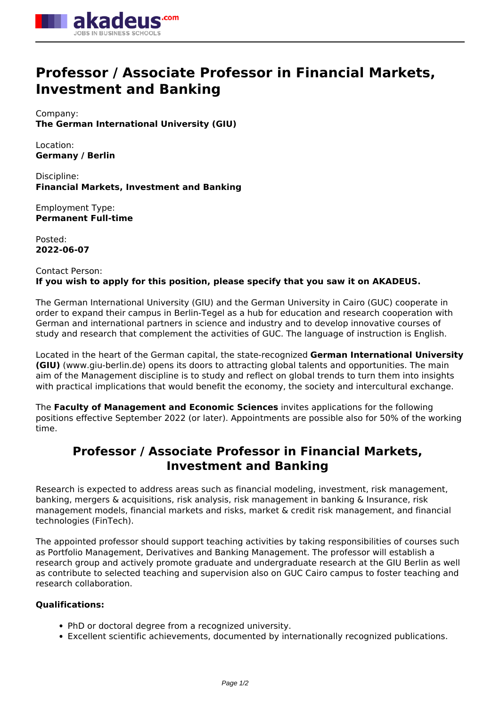

# **Professor / Associate Professor in Financial Markets, Investment and Banking**

Company: **The German International University (GIU)**

Location: **Germany / Berlin**

Discipline: **Financial Markets, Investment and Banking**

Employment Type: **Permanent Full-time**

Posted: **2022-06-07**

# Contact Person: **If you wish to apply for this position, please specify that you saw it on AKADEUS.**

The German International University (GIU) and the German University in Cairo (GUC) cooperate in order to expand their campus in Berlin-Tegel as a hub for education and research cooperation with German and international partners in science and industry and to develop innovative courses of study and research that complement the activities of GUC. The language of instruction is English.

Located in the heart of the German capital, the state-recognized **German International University (GIU)** (www.giu-berlin.de) opens its doors to attracting global talents and opportunities. The main aim of the Management discipline is to study and reflect on global trends to turn them into insights with practical implications that would benefit the economy, the society and intercultural exchange.

The **Faculty of Management and Economic Sciences** invites applications for the following positions effective September 2022 (or later). Appointments are possible also for 50% of the working time.

# **Professor / Associate Professor in Financial Markets, Investment and Banking**

Research is expected to address areas such as financial modeling, investment, risk management, banking, mergers & acquisitions, risk analysis, risk management in banking & Insurance, risk management models, financial markets and risks, market & credit risk management, and financial technologies (FinTech).

The appointed professor should support teaching activities by taking responsibilities of courses such as Portfolio Management, Derivatives and Banking Management. The professor will establish a research group and actively promote graduate and undergraduate research at the GIU Berlin as well as contribute to selected teaching and supervision also on GUC Cairo campus to foster teaching and research collaboration.

## **Qualifications:**

- PhD or doctoral degree from a recognized university.
- Excellent scientific achievements, documented by internationally recognized publications.